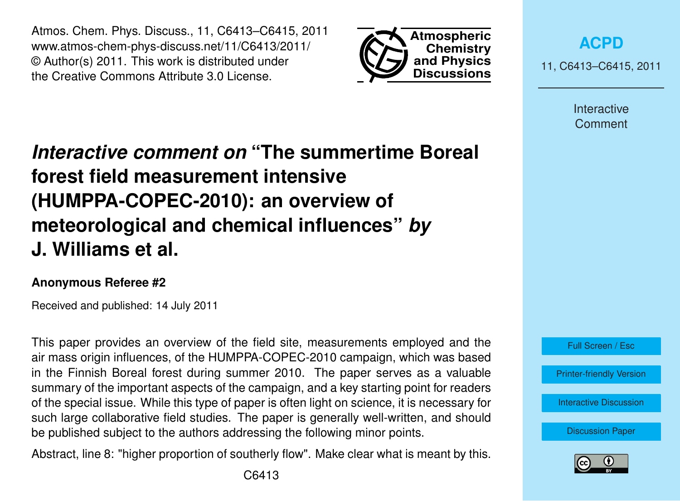Atmos. Chem. Phys. Discuss., 11, C6413–C6415, 2011 www.atmos-chem-phys-discuss.net/11/C6413/2011/ © Author(s) 2011. This work is distributed under the Creative Commons Attribute 3.0 License.



**[ACPD](http://www.atmos-chem-phys-discuss.net)**

11, C6413–C6415, 2011

Interactive **Comment** 

## *Interactive comment on* **"The summertime Boreal forest field measurement intensive (HUMPPA-COPEC-2010): an overview of meteorological and chemical influences"** *by* **J. Williams et al.**

## **Anonymous Referee #2**

Received and published: 14 July 2011

This paper provides an overview of the field site, measurements employed and the air mass origin influences, of the HUMPPA-COPEC-2010 campaign, which was based in the Finnish Boreal forest during summer 2010. The paper serves as a valuable summary of the important aspects of the campaign, and a key starting point for readers of the special issue. While this type of paper is often light on science, it is necessary for such large collaborative field studies. The paper is generally well-written, and should be published subject to the authors addressing the following minor points.

Abstract, line 8: "higher proportion of southerly flow". Make clear what is meant by this.



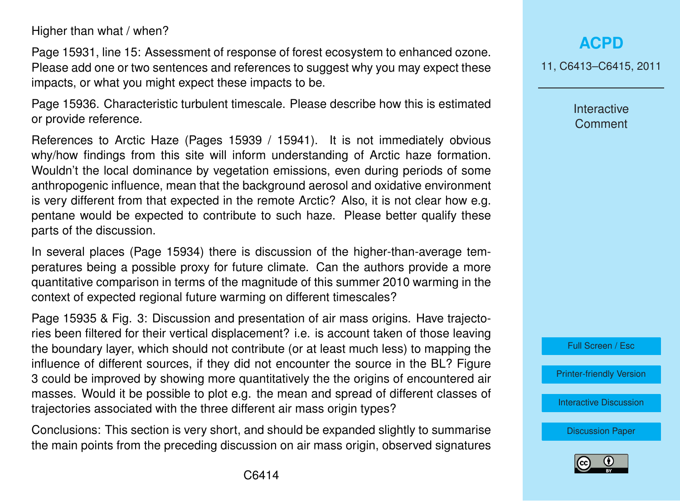Higher than what / when?

Page 15931, line 15: Assessment of response of forest ecosystem to enhanced ozone. Please add one or two sentences and references to suggest why you may expect these impacts, or what you might expect these impacts to be.

Page 15936. Characteristic turbulent timescale. Please describe how this is estimated or provide reference.

References to Arctic Haze (Pages 15939 / 15941). It is not immediately obvious why/how findings from this site will inform understanding of Arctic haze formation. Wouldn't the local dominance by vegetation emissions, even during periods of some anthropogenic influence, mean that the background aerosol and oxidative environment is very different from that expected in the remote Arctic? Also, it is not clear how e.g. pentane would be expected to contribute to such haze. Please better qualify these parts of the discussion.

In several places (Page 15934) there is discussion of the higher-than-average temperatures being a possible proxy for future climate. Can the authors provide a more quantitative comparison in terms of the magnitude of this summer 2010 warming in the context of expected regional future warming on different timescales?

Page 15935 & Fig. 3: Discussion and presentation of air mass origins. Have trajectories been filtered for their vertical displacement? i.e. is account taken of those leaving the boundary layer, which should not contribute (or at least much less) to mapping the influence of different sources, if they did not encounter the source in the BL? Figure 3 could be improved by showing more quantitatively the the origins of encountered air masses. Would it be possible to plot e.g. the mean and spread of different classes of trajectories associated with the three different air mass origin types?

Conclusions: This section is very short, and should be expanded slightly to summarise the main points from the preceding discussion on air mass origin, observed signatures **[ACPD](http://www.atmos-chem-phys-discuss.net)**

11, C6413–C6415, 2011

Interactive **Comment** 



[Printer-friendly Version](http://www.atmos-chem-phys-discuss.net/11/C6413/2011/acpd-11-C6413-2011-print.pdf)

[Interactive Discussion](http://www.atmos-chem-phys-discuss.net/11/15921/2011/acpd-11-15921-2011-discussion.html)

[Discussion Paper](http://www.atmos-chem-phys-discuss.net/11/15921/2011/acpd-11-15921-2011.pdf)